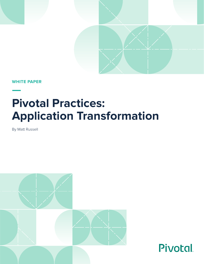

Pivotal.

**WHITE PAPER**

# **Pivotal Practices: Application Transformation**

By Matt Russell

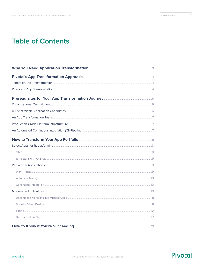$\overline{2}$ 

# **Table of Contents**

| Pivotal's App Transformation Approach <b>Election 2006</b> 2014                   |  |
|-----------------------------------------------------------------------------------|--|
|                                                                                   |  |
|                                                                                   |  |
|                                                                                   |  |
|                                                                                   |  |
|                                                                                   |  |
|                                                                                   |  |
|                                                                                   |  |
|                                                                                   |  |
|                                                                                   |  |
|                                                                                   |  |
|                                                                                   |  |
|                                                                                   |  |
|                                                                                   |  |
|                                                                                   |  |
|                                                                                   |  |
|                                                                                   |  |
|                                                                                   |  |
|                                                                                   |  |
|                                                                                   |  |
|                                                                                   |  |
|                                                                                   |  |
| How to Know if You're Succeeding <b>Entitled Strategie and Strategie Autor</b> 13 |  |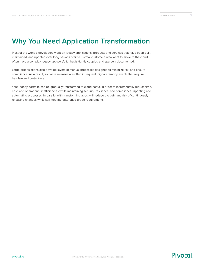# <span id="page-2-0"></span>**Why You Need Application Transformation**

Most of the world's developers work on legacy applications: products and services that have been built, maintained, and updated over long periods of time. Pivotal customers who want to move to the cloud often have a complex legacy app portfolio that is tightly coupled and sparsely documented.

Large organizations also develop layers of manual processes designed to minimize risk and ensure compliance. As a result, software releases are often infrequent, high-ceremony events that require heroism and brute force.

Your legacy portfolio can be gradually transformed to cloud-native in order to incrementally reduce time, cost, and operational inefficiencies while maintaining security, resilience, and compliance. Updating and automating processes, in parallel with transforming apps, will reduce the pain and risk of continuously releasing changes while still meeting enterprise-grade requirements.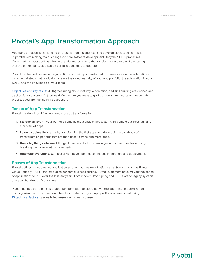# <span id="page-3-0"></span>**Pivotal's App Transformation Approach**

App transformation is challenging because it requires app teams to develop cloud technical skills in parallel with making major changes to core software development lifecycle (SDLC) processes. Organizations must dedicate their most talented people to the transformation effort, while ensuring that the entire legacy application portfolio continues to operate.

Pivotal has helped dozens of organizations on their app transformation journey. Our approach defines incremental steps that gradually increase the cloud maturity of your app portfolio, the automation in your SDLC, and the knowledge of your team.

[Objectives and key results](https://en.wikipedia.org/wiki/OKR) (OKR) measuring cloud maturity, automation, and skill building are defined and tracked for every step. Objectives define where you want to go; key results are metrics to measure the progress you are making in that direction.

### **Tenets of App Transformation**

Pivotal has developed four key tenets of app transformation:

- 1. **Start small.** Even if your portfolio contains thousands of apps, start with a single business unit and a handful of apps.
- 2. **Learn by doing.** Build skills by transforming the first apps and developing a cookbook of transformation patterns that are then used to transform more apps.
- 3. **Break big things into small things.** Incrementally transform larger and more complex apps by breaking them down into smaller parts.
- 4. **Automate everything.** Use test-driven development, continuous integration, and deployment.

### **Phases of App Transformation**

Pivotal defines a cloud-native application as one that runs on a Platform-as-a-Service—such as Pivotal Cloud Foundry (PCF)—and embraces horizontal, elastic scaling. Pivotal customers have moved thousands of applications to PCF over the last few years, from modern Java Spring and .NET Core to legacy systems that span hundreds of containers.

Pivotal defines three phases of app transformation to cloud-native: replatforming, modernization, and organization transformation. The cloud maturity of your app portfolio, as measured using [15 technical factors,](https://www.safaribooksonline.com/library/view/beyond-the-twelve-factor/9781492042631/) gradually increases during each phase.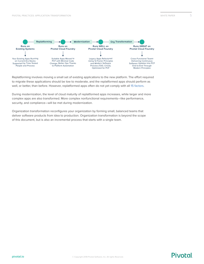

Replatforming involves moving a small set of existing applications to the new platform. The effort required to migrate these applications should be low to moderate, and the replatformed apps should perform as well, or better, than before. However, replatformed apps often do not yet comply with all [15 factors](https://www.safaribooksonline.com/library/view/beyond-the-twelve-factor/9781492042631/).

During modernization, the level of cloud maturity of replatformed apps increases, while larger and more complex apps are also transformed. More complex nonfunctional requirements—like performance, security, and compliance—will be met during modernization.

Organization transformation reconfigures your organization by forming small, balanced teams that deliver software products from idea to production. Organization transformation is beyond the scope of this document, but is also an incremental process that starts with a single team.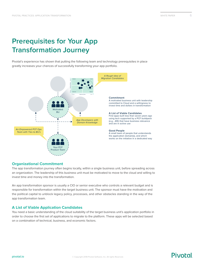# <span id="page-5-0"></span>**Prerequisites for Your App Transformation Journey**

Pivotal's experience has shown that putting the following team and technology prerequisites in place greatly increases your chances of successfully transforming your app portfolio.



### **Organizational Commitment**

The app transformation journey often begins locally, within a single business unit, before spreading across an organization. The leadership of this business unit must be motivated to move to the cloud and willing to invest time and money into the transformation.

An app transformation sponsor is usually a CIO or senior executive who controls a relevant budget and is responsible for transformation within the target business unit. The sponsor must have the motivation and the political capital to unblock legacy policy, processes, and other obstacles standing in the way of the app transformation team.

### **A List of Viable Application Candidates**

You need a basic understanding of the cloud suitability of the target business unit's application portfolio in order to choose the first set of applications to migrate to the platform. These apps will be selected based on a combination of technical, business, and economic factors.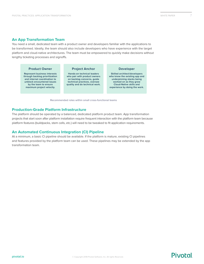### <span id="page-6-0"></span>**An App Transformation Team**

**by the team to ensure maximum project velocity.**

You need a small, dedicated team with a product owner and developers familiar with the applications to be transformed. Ideally, the team should also include developers who have experience with the target platform and cloud-native architectures. The team must be empowered to quickly make decisions without lengthy ticketing processes and signoffs.



**quality and do technical work.**

**worked on as they grow Cloud-Native skills and experience by doing the work.**

**Recommended roles within small cross-functional teams**

### **Production-Grade Platform Infrastructure**

The platform should be operated by a balanced, dedicated platform product team. App transformation projects that start soon after platform installation require frequent interaction with the platform team because platform features (buildpacks, stem cells, etc.) will need to be tweaked to fit application requirements.

### **An Automated Continuous Integration (CI) Pipeline**

At a minimum, a basic CI pipeline should be available. If the platform is mature, existing CI pipelines and features provided by the platform team can be used. These pipelines may be extended by the app transformation team.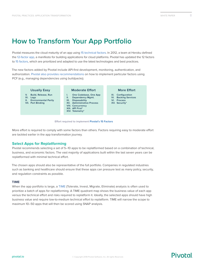# <span id="page-7-0"></span>**How to Transform Your App Portfolio**

Pivotal measures the cloud maturity of an app using [15 technical factors](https://www.safaribooksonline.com/library/view/beyond-the-twelve-factor/9781492042631/). In 2012, a team at Heroku defined the [12-factor app,](https://12factor.net/) a manifesto for building applications for cloud platforms. Pivotal has updated the 12 factors to [15 factors](https://www.safaribooksonline.com/library/view/beyond-the-twelve-factor/9781492042631/), which are prioritized and adapted to use the latest technologies and best practices.

The new factors added by Pivotal include API-first development, monitoring, authentication, and authorization. [Pivotal also provides recommendations](https://www.safaribooksonline.com/library/view/beyond-the-twelve-factor/9781492042631/) on how to implement particular factors using PCF (e.g., managing dependencies using buildpacks).



 **Effort required to implement [Pivotal's 15 Factors](https://www.safaribooksonline.com/library/view/beyond-the-twelve-factor/9781492042631/)**

More effort is required to comply with some factors than others. Factors requiring easy to moderate effort are tackled earlier in the app transformation journey.

### **Select Apps for Replatforming**

Pivotal recommends selecting a set of 5–10 apps to be replatformed based on a combination of technical, business, and economic factors. The vast majority of applications built within the last seven years can be replatformed with minimal technical effort.

The chosen apps should also be representative of the full portfolio. Companies in regulated industries such as banking and healthcare should ensure that these apps can pressure test as many policy, security, and regulation constraints as possible.

### **TIME**

When the app portfolio is large, a [TIME](https://www.gartner.com/doc/1115314?ref=unauthreader) (Tolerate, Invest, Migrate, Eliminate) [analysis](https://www.gartner.com/doc/1115314?ref=unauthreader) is often used to prioritize a batch of apps for replatforming. A TIME quadrant map shows the business value of each app versus the technical effort and risks required to replatform it. Ideally, the selected apps should have high business value and require low-to-medium technical effort to replatform. TIME will narrow the scope to maximum 10–50 apps that will then be scored using SNAP analysis.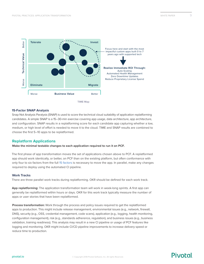<span id="page-8-0"></span>

### **15-Factor SNAP Analysis**

Snap Not Analysis Paralysis (SNAP) is used to score the technical cloud suitability of application replatforming candidates. A simple SNAP is a 15–30-min exercise covering app usage, data architecture, app architecture, and configuration. SNAP results in a replatforming score for each candidate app capturing whether a low, medium, or high level of effort is needed to move it to the cloud. TIME and SNAP results are combined to choose the first 5–10 apps to be replatformed.

### **Replatform Applications**

**Make the minimal testable changes to each application required to run it on PCF.**

The first phase of app transformation moves the set of applications chosen above to PCF. A replatformed app should work identically, or better, on PCF than on the existing platform, but often conformance with only four to six factors from the full [15 factors](https://www.safaribooksonline.com/library/view/beyond-the-twelve-factor/9781492042631/) is necessary to move the app. In parallel, make any changes required to deploy using the automated CI pipeline.

### **Work Tracks**

There are three parallel work tracks during replatforming. OKR should be defined for each work track.

**App replatforming:** The application transformation team will work in week-long sprints. A first app can generally be replatformed within hours or days. OKR for this work track typically measure the number of apps or user stories that have been replatformed.

**Process transformation:** Work through the process and policy issues required to get the replatformed apps to production. This might include release management, environmental issues (e.g., network, firewall, DNS), security (e.g., OSS, credential management, code scans), application (e.g., logging, health monitoring, configuration management), risk (e.g., standards adherence, regulation), and business issues (e.g., business validation, training readiness). This analysis may result in a new CI pipeline or usage of PCF features like logging and monitoring. OKR might include CI/CD pipeline improvements to increase delivery speed or reduce time to production.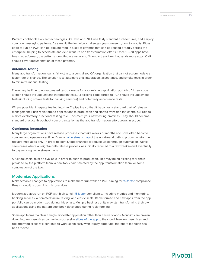<span id="page-9-0"></span>**Pattern cookbook**: Popular technologies like Java and .NET use fairly standard architectures, and employ common messaging patterns. As a result, the technical challenges you solve (e.g., how to modify JBoss code to run on PCF) can be documented in a set of patterns that can be reused broadly across the enterprise, helping to accelerate and de-risk future app transformation efforts. Once 10–20 apps have been replatformed, the patterns identified are usually sufficient to transform thousands more apps. OKR should cover documentation of these patterns.

### **Automate Testing**

Many app transformation teams fall victim to a centralized QA organization that cannot accommodate a faster rate of change. The solution is to automate unit, integration, acceptance, and smoke tests in order to minimize manual testing.

There may be little to no automated test coverage for your existing application portfolio. All new code written should include unit and integration tests. All existing code ported to PCF should include smoke tests (including smoke tests for backing services) and potentially acceptance tests.

Where possible, integrate testing into the CI pipeline so that it becomes a standard part of release management. Push replatformed applications to production and start to transition the central QA role to a more exploratory, functional testing role. Document your new testing practices. They should become standard practice throughout your organization as the app transformation effort grows in scope.

### **Continuous Integration**

Many large organizations have release processes that take weeks or months and have often become complex and opaque over time. Draw a [value stream map](https://www.lucidchart.com/pages/value-stream-mapping) of the end-to-end path to production (for the replatformed apps only) in order to identify opportunities to reduce waste through automation. We've seen cases where an eight-month release process was initially reduced to a few weeks—and eventually to days—using value stream maps.

A full tool chain must be available in order to push to production. This may be an existing tool chain provided by the platform team, a new tool chain selected by the app transformation team, or some combination of the two.

### **Modernize Applications**

Make testable changes to applications to make them "run well" on PCF, aiming for [15-factor](https://www.safaribooksonline.com/library/view/beyond-the-twelve-factor/9781492042631/) compliance. Break monoliths down into microservices.

Modernized apps run on PCF with high to full [15-factor](https://www.safaribooksonline.com/library/view/beyond-the-twelve-factor/9781492042631/) compliance, including metrics and monitoring, backing services, automated failure testing, and elastic scale. Replatformed and new apps from the app portfolio can be modernized during this phase. Multiple business units may start transforming their own applications using the pattern cookbook developed during replatforming.

Some app teams maintain a single monolithic application rather than a suite of apps. Monoliths are broken down into microservices by moving successive [slices of the app](https://en.wikipedia.org/wiki/Vertical_slice) to the cloud. New microservices and replatformed slices will continue to work seamlessly with legacy code until the entire monolith has been moved.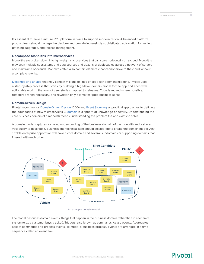<span id="page-10-0"></span>It's essential to have a mature PCF platform in place to support modernization. A balanced platform product team should manage the platform and provide increasingly sophisticated automation for testing, patching, upgrades, and release management.

#### **Decompose Monoliths into Microservices**

Monoliths are broken down into lightweight microservices that can scale horizontally on a cloud. Monoliths may span multiple subsystems and data sources and dozens of deployables across a network of servers and mainframe backends. Monoliths often also contain elements that cannot move to the cloud without a complete rewrite.

[Decomposing an app](https://content.pivotal.io/slides/the-modern-family-modernizing-applications-to-pivotal-cloud-foundry-getting-out-of-the-big-ball-of-mud) that may contain millions of lines of code can seem intimidating. Pivotal uses a step-by-step process that starts by building a high-level domain model for the app and ends with actionable work in the form of user stories mapped to releases. Code is reused where possible, refactored when necessary, and rewritten only if it makes good business sense.

#### **Domain-Driven Design**

Pivotal recommends [Domain-Driven Design](https://www.amazon.com/Domain-Driven-Design-Tackling-Complexity-Software/dp/0321125215) (DDD) and [Event Storming](https://leanpub.com/introducing_eventstorming) as practical approaches to defining the boundaries of new microservices. A [domain](https://content.pivotal.io/blog/getting-started-with-domain-driven-design-top-3-concepts) is a sphere of knowledge or activity. Understanding the core business domain of a monolith means understanding the problem the app exists to solve.

A domain model captures a shared understanding of the business domain of the monolith and a shared vocabulary to describe it. Business and technical staff should collaborate to create the domain model. Any sizable enterprise application will have a core domain and several subdomains or supporting domains that interact with each other.



 **An example domain model**

The model describes domain events: things that happen in the business domain rather than in a technical system (e.g., a customer buys a ticket). Triggers, also known as commands, cause events. Aggregates accept commands and process events. To model a business process, events are arranged in a time sequence called an event flow.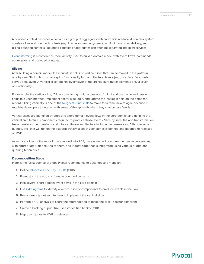<span id="page-11-0"></span>A bounded context describes a domain as a group of aggregates with an explicit interface. A complex system consists of several bounded contexts (e.g., in an ecommerce system, you might have order, delivery, and billing-bounded contexts). Bounded contexts or aggregates can often be separated into microservices.

[Event storming](https://leanpub.com/introducing_eventstorming) is a conference room activity used to build a domain model with event flows, commands, aggregates, and bounded contexts.

### **Slicing**

After building a domain model, the monolith is split into vertical slices that can be moved to the platform one by one. Slicing horizontally splits functionality into architectural layers (e.g., user interface, web server, data layer). A vertical slice touches every layer of the architecture but implements only a sliver of functionality.

For example, the vertical slice, "Allow a user to login with a password," might add username and password fields to a user interface, implement server-side logic, and update the last login field on the database record. Slicing vertically is one of the [toughest mind shifts](https://www.pivotaltracker.com/blog/choosing-best-slice-for-your-story/) to make for a team new to agile because it requires developers to interact with areas of the app with which they may be less familiar.

Vertical slices are identified by choosing short, domain event flows in the core domain and defining the vertical architectural components required to produce those events. Slice by slice, the app transformation team translates the domain model into a software architecture including microservices, APIs, message queues, etc., that will run on the platform. Finally, a set of user stories is defined and mapped to releases or MVP.

As vertical slices of the monolith are moved into PCF, the system will combine the new microservices, with appropriate traffic routed to them, and legacy code that is integrated using various bridge and queuing techniques.

### **Decomposition Steps**

Here is the full sequence of steps Pivotal recommends to decompose a monolith:

- 1. Define [Objectives and Key Results](https://en.wikipedia.org/wiki/OKR) (OKR).
- 2. Event storm the app and identify bounded contexts.
- 3. Pick several short domain event flows in the core domain.
- 4. Use [C4 diagrams](https://c4model.com/) to identify a vertical slice of components to produce events in the flow.
- 5. Brainstorm a target architecture to implement the vertical slice.
- 6. Perform SNAP analysis to score the effort needed to make the slice 15-factor compliant.
- 7. Create a backlog of prioritize user stories tied back to OKR.
- 8. Map user stories to MVP or releases.